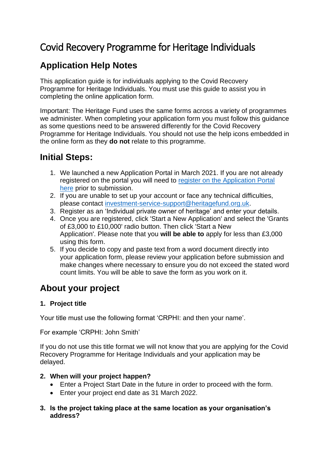# Covid Recovery Programme for Heritage Individuals

# **Application Help Notes**

This application guide is for individuals applying to the Covid Recovery Programme for Heritage Individuals. You must use this guide to assist you in completing the online application form.

Important: The Heritage Fund uses the same forms across a variety of programmes we administer. When completing your application form you must follow this guidance as some questions need to be answered differently for the Covid Recovery Programme for Heritage Individuals. You should not use the help icons embedded in the online form as they **do not** relate to this programme.

## **Initial Steps:**

- 1. We launched a new Application Portal in March 2021. If you are not already registered on the portal you will need to register [on the Application Portal](https://funding.heritagefund.org.uk/users/sign_up?locale=en-GB)  [here](https://funding.heritagefund.org.uk/users/sign_up?locale=en-GB) prior to submission.
- 2. If you are unable to set up your account or face any technical difficulties, please contact [investment-service-support@heritagefund.org.uk.](mailto:investment-service-support@heritagefund.org.uk)
- 3. Register as an 'Individual private owner of heritage' and enter your details.
- 4. Once you are registered, click 'Start a New Application' and select the 'Grants of £3,000 to £10,000' radio button. Then click 'Start a New Application'. Please note that you **will be able to** apply for less than £3,000 using this form.
- 5. If you decide to copy and paste text from a word document directly into your application form, please review your application before submission and make changes where necessary to ensure you do not exceed the stated word count limits. You will be able to save the form as you work on it.

# **About your project**

## **1. Project title**

Your title must use the following format 'CRPHI: and then your name'.

For example 'CRPHI: John Smith'

If you do not use this title format we will not know that you are applying for the Covid Recovery Programme for Heritage Individuals and your application may be delayed.

## **2. When will your project happen?**

- Enter a Project Start Date in the future in order to proceed with the form.
- Enter your project end date as 31 March 2022.
- **3. Is the project taking place at the same location as your organisation's address?**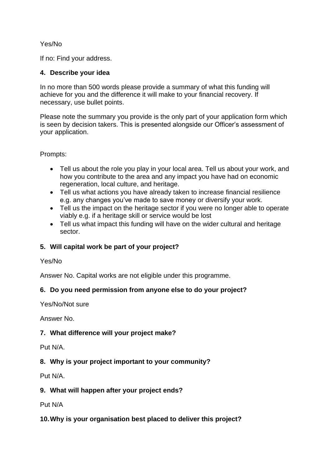## Yes/No

If no: Find your address.

#### **4. Describe your idea**

In no more than 500 words please provide a summary of what this funding will achieve for you and the difference it will make to your financial recovery. If necessary, use bullet points.

Please note the summary you provide is the only part of your application form which is seen by decision takers. This is presented alongside our Officer's assessment of your application.

Prompts:

- Tell us about the role you play in your local area. Tell us about your work, and how you contribute to the area and any impact you have had on economic regeneration, local culture, and heritage.
- Tell us what actions you have already taken to increase financial resilience e.g. any changes you've made to save money or diversify your work.
- Tell us the impact on the heritage sector if you were no longer able to operate viably e.g. if a heritage skill or service would be lost
- Tell us what impact this funding will have on the wider cultural and heritage sector.

## **5. Will capital work be part of your project?**

#### Yes/No

Answer No. Capital works are not eligible under this programme.

#### **6. Do you need permission from anyone else to do your project?**

Yes/No/Not sure

Answer No.

#### **7. What difference will your project make?**

Put N/A.

#### **8. Why is your project important to your community?**

Put N/A.

#### **9. What will happen after your project ends?**

Put N/A

#### **10.Why is your organisation best placed to deliver this project?**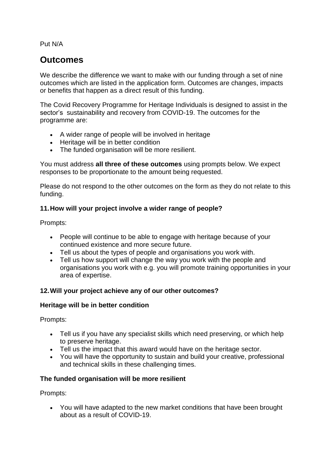Put N/A

## **Outcomes**

We describe the difference we want to make with our funding through a set of nine outcomes which are listed in the application form. Outcomes are changes, impacts or benefits that happen as a direct result of this funding.

The Covid Recovery Programme for Heritage Individuals is designed to assist in the sector's sustainability and recovery from COVID-19. The outcomes for the programme are:

- A wider range of people will be involved in heritage
- Heritage will be in better condition
- The funded organisation will be more resilient.

You must address **all three of these outcomes** using prompts below. We expect responses to be proportionate to the amount being requested.

Please do not respond to the other outcomes on the form as they do not relate to this funding.

## **11.How will your project involve a wider range of people?**

Prompts:

- People will continue to be able to engage with heritage because of your continued existence and more secure future.
- Tell us about the types of people and organisations you work with.
- Tell us how support will change the way you work with the people and organisations you work with e.g. you will promote training opportunities in your area of expertise.

## **12.Will your project achieve any of our other outcomes?**

#### **Heritage will be in better condition**

Prompts:

- Tell us if you have any specialist skills which need preserving, or which help to preserve heritage.
- Tell us the impact that this award would have on the heritage sector.
- You will have the opportunity to sustain and build your creative, professional and technical skills in these challenging times.

## **The funded organisation will be more resilient**

Prompts:

• You will have adapted to the new market conditions that have been brought about as a result of COVID-19.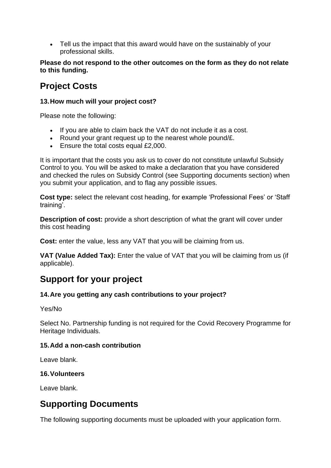• Tell us the impact that this award would have on the sustainably of your professional skills.

**Please do not respond to the other outcomes on the form as they do not relate to this funding.**

# **Project Costs**

#### **13.How much will your project cost?**

Please note the following:

- If you are able to claim back the VAT do not include it as a cost.
- Round your grant request up to the nearest whole pound/£.
- Ensure the total costs equal £2,000.

It is important that the costs you ask us to cover do not constitute unlawful Subsidy Control to you. You will be asked to make a declaration that you have considered and checked the rules on Subsidy Control (see Supporting documents section) when you submit your application, and to flag any possible issues.

**Cost type:** select the relevant cost heading, for example 'Professional Fees' or 'Staff training'.

**Description of cost:** provide a short description of what the grant will cover under this cost heading

**Cost:** enter the value, less any VAT that you will be claiming from us.

**VAT (Value Added Tax):** Enter the value of VAT that you will be claiming from us (if applicable).

## **Support for your project**

## **14.Are you getting any cash contributions to your project?**

#### Yes/No

Select No. Partnership funding is not required for the Covid Recovery Programme for Heritage Individuals.

## **15.Add a non-cash contribution**

Leave blank.

## **16.Volunteers**

Leave blank.

## **Supporting Documents**

The following supporting documents must be uploaded with your application form.